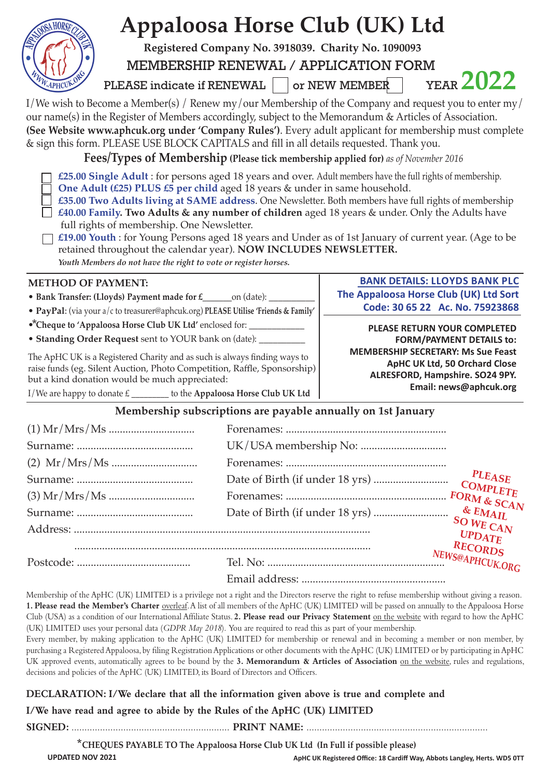| <b>Appaloosa Horse Club (UK) Ltd</b>                                                                                                                                                                                                                                                                                                                                                                                                                                                                                                                                                                                                                                                                |                           |                                                                           |                                                                                                   |
|-----------------------------------------------------------------------------------------------------------------------------------------------------------------------------------------------------------------------------------------------------------------------------------------------------------------------------------------------------------------------------------------------------------------------------------------------------------------------------------------------------------------------------------------------------------------------------------------------------------------------------------------------------------------------------------------------------|---------------------------|---------------------------------------------------------------------------|---------------------------------------------------------------------------------------------------|
| Registered Company No. 3918039. Charity No. 1090093                                                                                                                                                                                                                                                                                                                                                                                                                                                                                                                                                                                                                                                 |                           |                                                                           |                                                                                                   |
| MEMBERSHIP RENEWAL / APPLICATION FORM                                                                                                                                                                                                                                                                                                                                                                                                                                                                                                                                                                                                                                                               |                           |                                                                           |                                                                                                   |
| W.APHCUK.O<br>PLEASE indicate if RENEWAL                                                                                                                                                                                                                                                                                                                                                                                                                                                                                                                                                                                                                                                            |                           | or NEW MEMBER                                                             | <b>YEAR 2022</b>                                                                                  |
| I/We wish to Become a Member(s) / Renew my/our Membership of the Company and request you to enter my/<br>our name(s) in the Register of Members accordingly, subject to the Memorandum & Articles of Association.<br>(See Website www.aphcuk.org under 'Company Rules'). Every adult applicant for membership must complete<br>& sign this form. PLEASE USE BLOCK CAPITALS and fill in all details requested. Thank you.<br>Fees/Types of Membership (Please tick membership applied for) as of November 2016                                                                                                                                                                                       |                           |                                                                           |                                                                                                   |
| £25.00 Single Adult : for persons aged 18 years and over. Adult members have the full rights of membership.<br>One Adult (£25) PLUS £5 per child aged 18 years & under in same household.<br>£35.00 Two Adults living at SAME address. One Newsletter. Both members have full rights of membership<br>£40.00 Family. Two Adults & any number of children aged 18 years & under. Only the Adults have<br>full rights of membership. One Newsletter.<br>£19.00 Youth : for Young Persons aged 18 years and Under as of 1st January of current year. (Age to be<br>retained throughout the calendar year). NOW INCLUDES NEWSLETTER.<br>Youth Members do not have the right to vote or register horses. |                           |                                                                           |                                                                                                   |
| <b>METHOD OF PAYMENT:</b>                                                                                                                                                                                                                                                                                                                                                                                                                                                                                                                                                                                                                                                                           |                           | <b>BANK DETAILS: LLOYDS BANK PLC</b>                                      |                                                                                                   |
| • Bank Transfer: (Lloyds) Payment made for £_______ on (date): _____                                                                                                                                                                                                                                                                                                                                                                                                                                                                                                                                                                                                                                |                           | The Appaloosa Horse Club (UK) Ltd Sort<br>Code: 30 65 22 Ac. No. 75923868 |                                                                                                   |
| · PayPal: (via your a/c to treasurer@aphcuk.org) PLEASE Utilise 'Friends & Family'                                                                                                                                                                                                                                                                                                                                                                                                                                                                                                                                                                                                                  |                           |                                                                           |                                                                                                   |
| •*Cheque to 'Appaloosa Horse Club UK Ltd' enclosed for: ________________________<br>• Standing Order Request sent to YOUR bank on (date): ______                                                                                                                                                                                                                                                                                                                                                                                                                                                                                                                                                    |                           | PLEASE RETURN YOUR COMPLETED<br><b>FORM/PAYMENT DETAILS to:</b>           |                                                                                                   |
| The ApHC UK is a Registered Charity and as such is always finding ways to<br>raise funds (eg. Silent Auction, Photo Competition, Raffle, Sponsorship)<br>but a kind donation would be much appreciated:                                                                                                                                                                                                                                                                                                                                                                                                                                                                                             |                           | <b>MEMBERSHIP SECRETARY: Ms Sue Feast</b>                                 | <b>ApHC UK Ltd, 50 Orchard Close</b><br>ALRESFORD, Hampshire. SO24 9PY.<br>Email: news@aphcuk.org |
| I/We are happy to donate £ ________ to the Appaloosa Horse Club UK Ltd                                                                                                                                                                                                                                                                                                                                                                                                                                                                                                                                                                                                                              |                           |                                                                           |                                                                                                   |
| Membership subscriptions are payable annually on 1st January                                                                                                                                                                                                                                                                                                                                                                                                                                                                                                                                                                                                                                        |                           |                                                                           |                                                                                                   |
|                                                                                                                                                                                                                                                                                                                                                                                                                                                                                                                                                                                                                                                                                                     |                           |                                                                           |                                                                                                   |
|                                                                                                                                                                                                                                                                                                                                                                                                                                                                                                                                                                                                                                                                                                     |                           |                                                                           |                                                                                                   |
|                                                                                                                                                                                                                                                                                                                                                                                                                                                                                                                                                                                                                                                                                                     |                           |                                                                           |                                                                                                   |
|                                                                                                                                                                                                                                                                                                                                                                                                                                                                                                                                                                                                                                                                                                     | <b>PLEASE</b><br>COMPLETE |                                                                           |                                                                                                   |
|                                                                                                                                                                                                                                                                                                                                                                                                                                                                                                                                                                                                                                                                                                     |                           |                                                                           |                                                                                                   |
|                                                                                                                                                                                                                                                                                                                                                                                                                                                                                                                                                                                                                                                                                                     | $&$ EMAIL                 |                                                                           |                                                                                                   |
|                                                                                                                                                                                                                                                                                                                                                                                                                                                                                                                                                                                                                                                                                                     |                           |                                                                           | SO WE CAN<br>UPDATE                                                                               |
|                                                                                                                                                                                                                                                                                                                                                                                                                                                                                                                                                                                                                                                                                                     |                           |                                                                           | RECORDS<br>NEWS@APHCUK.ORG                                                                        |
|                                                                                                                                                                                                                                                                                                                                                                                                                                                                                                                                                                                                                                                                                                     |                           |                                                                           |                                                                                                   |

Membership of the ApHC (UK) LIMITED is a privilege not a right and the Directors reserve the right to refuse membership without giving a reason. **1. Please read the Member's Charter** overleaf. A list of all members of the ApHC (UK) LIMITED will be passed on annually to the Appaloosa Horse Club (USA) as a condition of our International Affiliate Status. **2. Please read our Privacy Statement** on the website with regard to how the ApHC (UK) LIMITED uses your personal data (*GDPR May 2018*). You are required to read this as part of your membership.

Every member, by making application to the ApHC (UK) LIMITED for membership or renewal and in becoming a member or non member, by purchasing a Registered Appaloosa, by filing Registration Applications or other documents with the ApHC (UK) LIMITED or by participating in ApHC UK approved events, automatically agrees to be bound by the **3. Memorandum & Articles of Association** on the website, rules and regulations, decisions and policies of the ApHC (UK) LIMITED, its Board of Directors and Officers.

## **DECLARATION: I/We declare that all the information given above is true and complete and**

**I/We have read and agree to abide by the Rules of the ApHC (UK) LIMITED** 

**SIGNED:** ............................................................. **PRINT NAME:** ......................................................................

**\*CHEQUES PAYABLE TO The Appaloosa Horse Club UK Ltd (In Full if possible please)**

**UPDATED NOV 2021**

**ApHC UK Registered Office: 18 Cardiff Way, Abbots Langley, Herts. WD5 0TT**